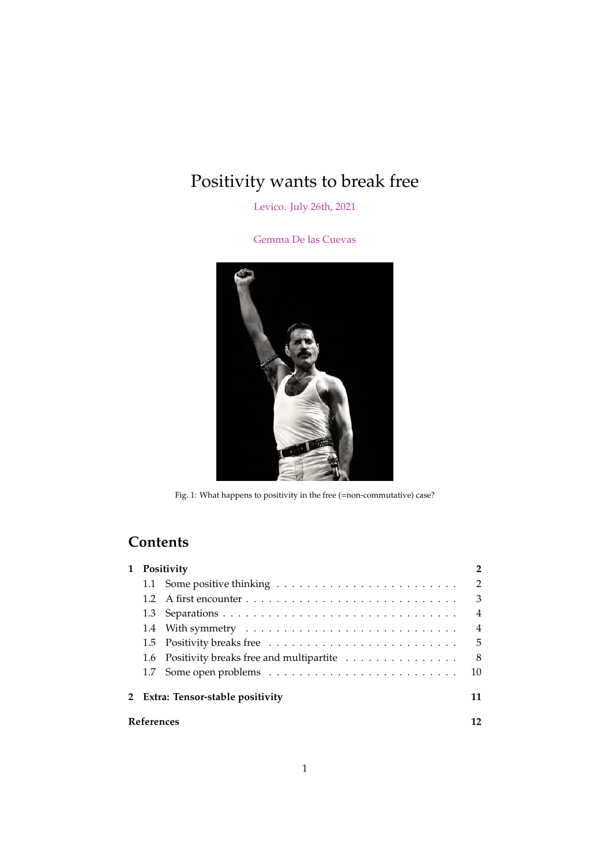# <span id="page-0-1"></span>Positivity wants to break free

[Levico. July 26th, 2021](https://sites.google.com/unitn.it/tensor-networks-quantum-geo/schedule-and-titles)

[Gemma De las Cuevas](https://www.gemmadelascuevas.com)

<span id="page-0-0"></span>

Fig. 1: What happens to positivity in the free (=non-commutative) case?

# **Contents**

| $\mathbf{1}$ | Positivity                        |                                             |                |  |  |  |
|--------------|-----------------------------------|---------------------------------------------|----------------|--|--|--|
|              |                                   |                                             | $\overline{2}$ |  |  |  |
|              | 12                                |                                             | 3              |  |  |  |
|              |                                   |                                             | $\overline{4}$ |  |  |  |
|              |                                   |                                             | $\overline{4}$ |  |  |  |
|              |                                   |                                             | .5             |  |  |  |
|              |                                   | 1.6 Positivity breaks free and multipartite | 8              |  |  |  |
|              |                                   |                                             | 10             |  |  |  |
|              | 2 Extra: Tensor-stable positivity |                                             |                |  |  |  |
| References   |                                   |                                             |                |  |  |  |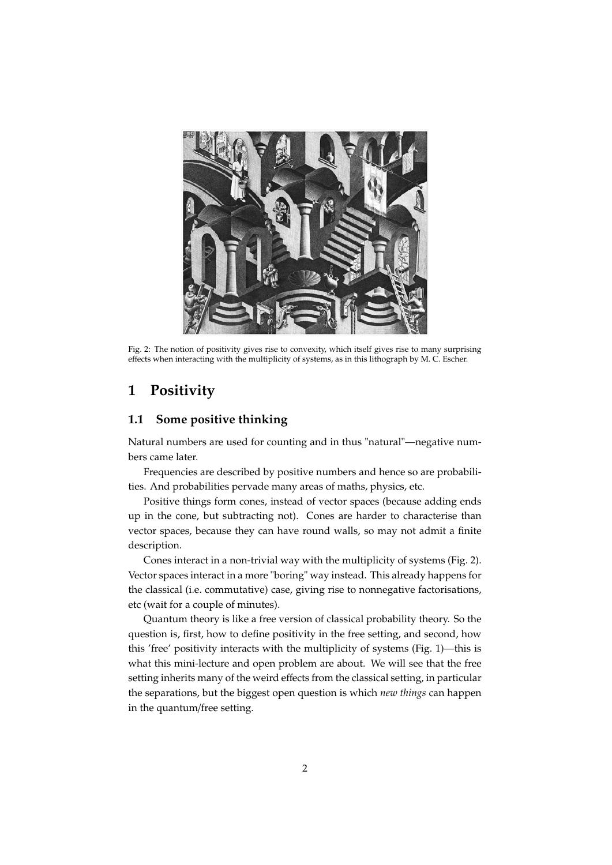<span id="page-1-2"></span>

Fig. 2: The notion of positivity gives rise to convexity, which itself gives rise to many surprising effects when interacting with the multiplicity of systems, as in this lithograph by M. C. Escher.

# <span id="page-1-0"></span>**1 Positivity**

#### <span id="page-1-1"></span>**1.1 Some positive thinking**

Natural numbers are used for counting and in thus "natural"—negative numbers came later.

Frequencies are described by positive numbers and hence so are probabilities. And probabilities pervade many areas of maths, physics, etc.

Positive things form cones, instead of vector spaces (because adding ends up in the cone, but subtracting not). Cones are harder to characterise than vector spaces, because they can have round walls, so may not admit a finite description.

Cones interact in a non-trivial way with the multiplicity of systems (Fig. [2\)](#page-1-2). Vector spaces interact in a more "boring" way instead. This already happens for the classical (i.e. commutative) case, giving rise to nonnegative factorisations, etc (wait for a couple of minutes).

Quantum theory is like a free version of classical probability theory. So the question is, first, how to define positivity in the free setting, and second, how this 'free' positivity interacts with the multiplicity of systems (Fig. [1\)](#page-0-0)—this is what this mini-lecture and open problem are about. We will see that the free setting inherits many of the weird effects from the classical setting, in particular the separations, but the biggest open question is which *new things* can happen in the quantum/free setting.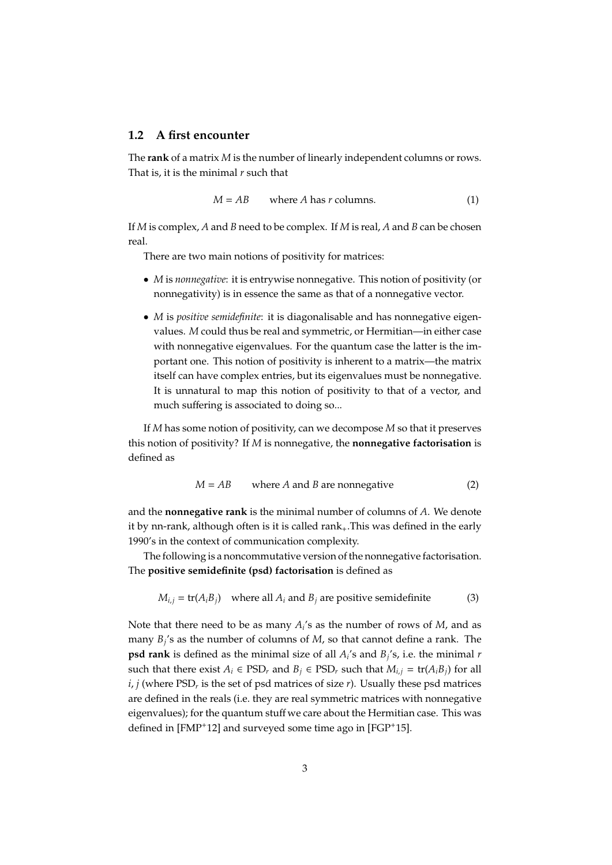#### <span id="page-2-0"></span>**1.2 A first encounter**

The **rank** of a matrix *M* is the number of linearly independent columns or rows. That is, it is the minimal *r* such that

$$
M = AB
$$
 where *A* has *r* columns. (1)

If *M* is complex, *A* and *B* need to be complex. If *M* is real, *A* and *B* can be chosen real.

There are two main notions of positivity for matrices:

- *M* is *nonnegative*: it is entrywise nonnegative. This notion of positivity (or nonnegativity) is in essence the same as that of a nonnegative vector.
- *M* is *positive semidefinite*: it is diagonalisable and has nonnegative eigenvalues. *M* could thus be real and symmetric, or Hermitian—in either case with nonnegative eigenvalues. For the quantum case the latter is the important one. This notion of positivity is inherent to a matrix—the matrix itself can have complex entries, but its eigenvalues must be nonnegative. It is unnatural to map this notion of positivity to that of a vector, and much suffering is associated to doing so...

If *M* has some notion of positivity, can we decompose *M* so that it preserves this notion of positivity? If *M* is nonnegative, the **nonnegative factorisation** is defined as

$$
M = AB
$$
 where *A* and *B* are nonnegative (2)

and the **nonnegative rank** is the minimal number of columns of *A*. We denote it by nn-rank, although often is it is called rank $_+$ . This was defined in the early 1990's in the context of communication complexity.

The following is a noncommutative version of the nonnegative factorisation. The **positive semidefinite (psd) factorisation** is defined as

$$
M_{i,j} = \text{tr}(A_i B_j)
$$
 where all  $A_i$  and  $B_j$  are positive semidefinite (3)

Note that there need to be as many  $A_i$ 's as the number of rows of  $M$ , and as many *B<sup>j</sup>* 's as the number of columns of *M*, so that cannot define a rank. The **psd rank** is defined as the minimal size of all *A<sup>i</sup>* 's and *B<sup>j</sup>* 's, i.e. the minimal *r* such that there exist  $A_i \in \text{PSD}_r$  and  $B_j \in \text{PSD}_r$  such that  $M_{i,j} = \text{tr}(A_i B_j)$  for all *i*, *j* (where PSD*<sup>r</sup>* is the set of psd matrices of size *r*). Usually these psd matrices are defined in the reals (i.e. they are real symmetric matrices with nonnegative eigenvalues); for the quantum stuff we care about the Hermitian case. This was defined in [\[FMP](#page-11-0)<sup>+</sup>12] and surveyed some time ago in [\[FGP](#page-11-1)<sup>+</sup>15].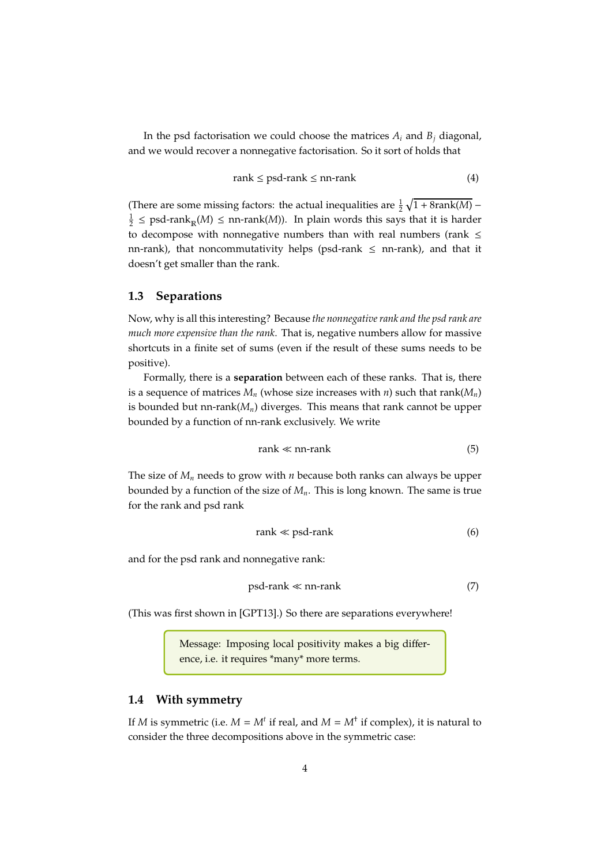In the psd factorisation we could choose the matrices  $A_i$  and  $B_j$  diagonal, and we would recover a nonnegative factorisation. So it sort of holds that

$$
rank \leq psd-rank \leq nn-rank
$$
\n<sup>(4)</sup>

(There are some missing factors: the actual inequalities are  $\frac{1}{2} \sqrt{1 + 8 \text{rank}(M)}$  –  $\frac{1}{2} \leq \text{psd-rank}_{\mathbb{R}}(M) \leq \text{nn-rank}(M)$ ). In plain words this says that it is harder to decompose with nonnegative numbers than with real numbers (rank  $\leq$ nn-rank), that noncommutativity helps (psd-rank  $\leq$  nn-rank), and that it doesn't get smaller than the rank.

#### <span id="page-3-0"></span>**1.3 Separations**

Now, why is all this interesting? Because *the nonnegative rank and the psd rank are much more expensive than the rank*. That is, negative numbers allow for massive shortcuts in a finite set of sums (even if the result of these sums needs to be positive).

Formally, there is a **separation** between each of these ranks. That is, there is a sequence of matrices  $M_n$  (whose size increases with  $n$ ) such that rank( $M_n$ ) is bounded but nn-rank(*Mn*) diverges. This means that rank cannot be upper bounded by a function of nn-rank exclusively. We write

$$
rank \ll nn-rank
$$
 (5)

The size of *M<sup>n</sup>* needs to grow with *n* because both ranks can always be upper bounded by a function of the size of *Mn*. This is long known. The same is true for the rank and psd rank

$$
rank \ll psd-rank
$$
 (6)

and for the psd rank and nonnegative rank:

$$
psd-rank \ll nn-rank
$$
 (7)

(This was first shown in [\[GPT13\]](#page-11-2).) So there are separations everywhere!

Message: Imposing local positivity makes a big difference, i.e. it requires \*many\* more terms.

#### <span id="page-3-1"></span>**1.4 With symmetry**

If *M* is symmetric (i.e.  $M = M^t$  if real, and  $M = M^{\dagger}$  if complex), it is natural to consider the three decompositions above in the symmetric case: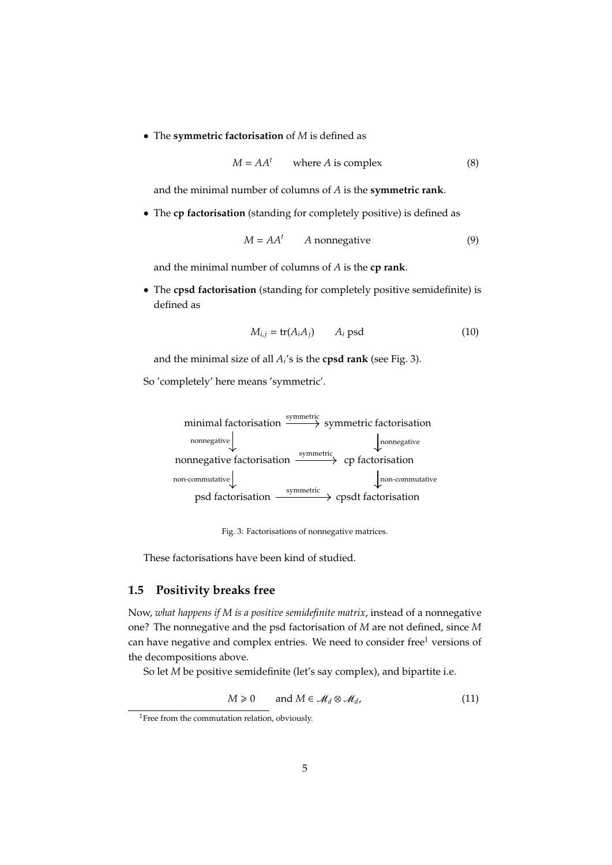• The **symmetric factorisation** of *M* is defined as

$$
M = AAt \twhere A is complex \t(8)
$$

and the minimal number of columns of *A* is the **symmetric rank**.

• The **cp factorisation** (standing for completely positive) is defined as

$$
M = AAt \qquad A nonnegative \tag{9}
$$

and the minimal number of columns of *A* is the **cp rank**.

• The **cpsd factorisation** (standing for completely positive semidefinite) is defined as

$$
M_{i,j} = \text{tr}(A_i A_j) \qquad A_i \text{ psd} \tag{10}
$$

and the minimal size of all  $A_i$ 's is the **cpsd rank** (see Fig. [3\)](#page-4-1).

<span id="page-4-1"></span>So 'completely' here means 'symmetric'.

minimal factorisation  $\xrightarrow{\text{symmetric}}$  symmetric factorisation nonnegative factorisation  $\longrightarrow$  cp factorisation psd factorisation  $\xrightarrow{\text{symmetric}}$  cpsdt factorisation nonnegative and the nonnegative nonnegative symmetric non-commutative non-commutative

Fig. 3: Factorisations of nonnegative matrices.

These factorisations have been kind of studied.

#### <span id="page-4-0"></span>**1.5 Positivity breaks free**

Now, *what happens if M is a positive semidefinite matrix*, instead of a nonnegative one? The nonnegative and the psd factorisation of *M* are not defined, since *M* can have negative and complex entries. We need to consider free<sup>[1](#page-0-1)</sup> versions of the decompositions above.

So let *M* be positive semidefinite (let's say complex), and bipartite i.e.

$$
M \geq 0 \qquad \text{and } M \in \mathcal{M}_d \otimes \mathcal{M}_d,
$$
 (11)

<sup>&</sup>lt;sup>1</sup>Free from the commutation relation, obviously.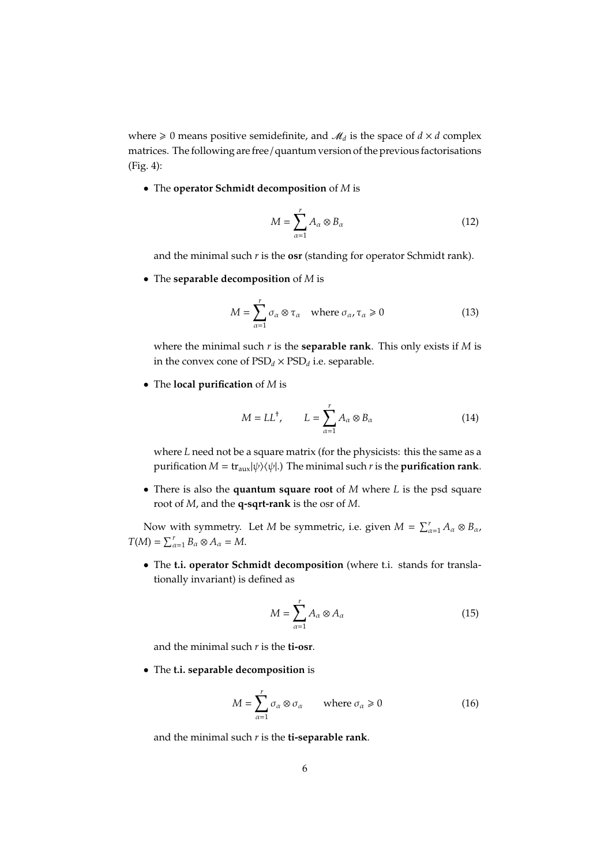where  $\geq 0$  means positive semidefinite, and  $\mathcal{M}_d$  is the space of  $d \times d$  complex matrices. The following are free / quantum version of the previous factorisations (Fig. [4\)](#page-6-0):

• The **operator Schmidt decomposition** of *M* is

$$
M = \sum_{\alpha=1}^{r} A_{\alpha} \otimes B_{\alpha} \tag{12}
$$

and the minimal such *r* is the **osr** (standing for operator Schmidt rank).

• The **separable decomposition** of *M* is

$$
M = \sum_{\alpha=1}^{r} \sigma_{\alpha} \otimes \tau_{\alpha} \quad \text{where } \sigma_{\alpha}, \tau_{\alpha} \ge 0 \tag{13}
$$

where the minimal such *r* is the **separable rank**. This only exists if *M* is in the convex cone of  $PSD_d \times PSD_d$  i.e. separable.

• The **local purification** of *M* is

$$
M = LL^{\dagger}, \qquad L = \sum_{\alpha=1}^{r} A_{\alpha} \otimes B_{\alpha} \tag{14}
$$

where *L* need not be a square matrix (for the physicists: this the same as a purification  $M = \text{tr}_{\text{aux}}|\psi\rangle\langle\psi|$ .) The minimal such *r* is the **purification rank**.

• There is also the **quantum square root** of *M* where *L* is the psd square root of *M*, and the **q-sqrt-rank** is the osr of *M*.

Now with symmetry. Let *M* be symmetric, i.e. given  $M = \sum_{\alpha=1}^{r} A_{\alpha} \otimes B_{\alpha}$ ,  $T(M) = \sum_{\alpha=1}^r B_\alpha \otimes A_\alpha = M.$ 

• The **t.i. operator Schmidt decomposition** (where t.i. stands for translationally invariant) is defined as

$$
M = \sum_{\alpha=1}^{r} A_{\alpha} \otimes A_{\alpha} \tag{15}
$$

and the minimal such *r* is the **ti-osr**.

• The **t.i. separable decomposition** is

$$
M = \sum_{\alpha=1}^{r} \sigma_{\alpha} \otimes \sigma_{\alpha} \qquad \text{where } \sigma_{\alpha} \geq 0 \tag{16}
$$

and the minimal such *r* is the **ti-separable rank**.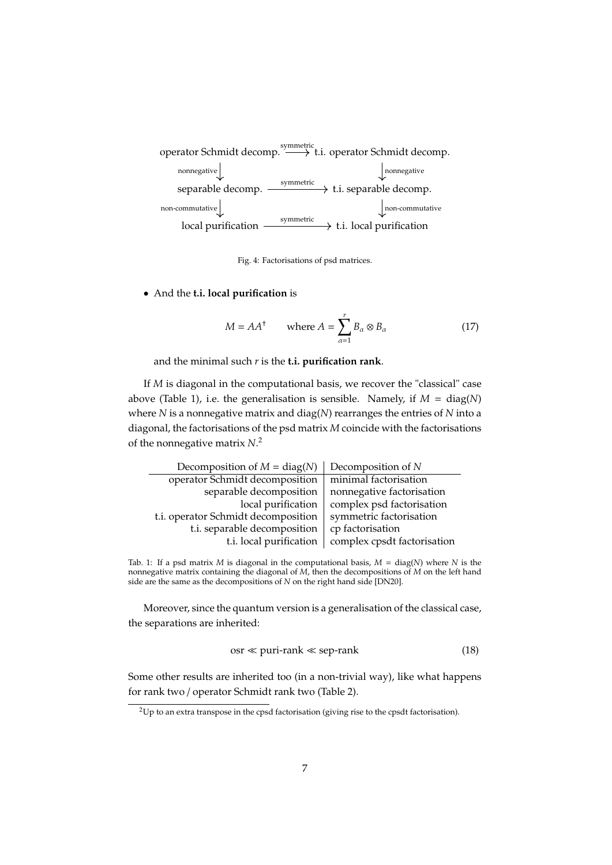<span id="page-6-0"></span>

Fig. 4: Factorisations of psd matrices.

• And the **t.i. local purification** is

$$
M = AA^{\dagger} \qquad \text{where } A = \sum_{\alpha=1}^{r} B_{\alpha} \otimes B_{\alpha} \tag{17}
$$

and the minimal such *r* is the **t.i. purification rank**.

If *M* is diagonal in the computational basis, we recover the "classical" case above (Table [1\)](#page-6-1), i.e. the generalisation is sensible. Namely, if  $M = \text{diag}(N)$ where *N* is a nonnegative matrix and diag(*N*) rearranges the entries of *N* into a diagonal, the factorisations of the psd matrix *M* coincide with the factorisations of the nonnegative matrix *N*. [2](#page-0-1)

<span id="page-6-1"></span>

| Decomposition of $M = diag(N)$      | Decomposition of N          |
|-------------------------------------|-----------------------------|
| operator Schmidt decomposition      | minimal factorisation       |
| separable decomposition             | nonnegative factorisation   |
| local purification                  | complex psd factorisation   |
| t.i. operator Schmidt decomposition | symmetric factorisation     |
| t.i. separable decomposition        | cp factorisation            |
| t.i. local purification             | complex cpsdt factorisation |

Tab. 1: If a psd matrix *M* is diagonal in the computational basis, *M* = diag(*N*) where *N* is the nonnegative matrix containing the diagonal of *M*, then the decompositions of *M* on the left hand side are the same as the decompositions of *N* on the right hand side [\[DN20\]](#page-11-3).

Moreover, since the quantum version is a generalisation of the classical case, the separations are inherited:

$$
osr \ll \text{puri-rank} \ll \text{sep-rank} \tag{18}
$$

Some other results are inherited too (in a non-trivial way), like what happens for rank two / operator Schmidt rank two (Table [2\)](#page-7-1).

<sup>&</sup>lt;sup>2</sup>Up to an extra transpose in the cpsd factorisation (giving rise to the cpsdt factorisation).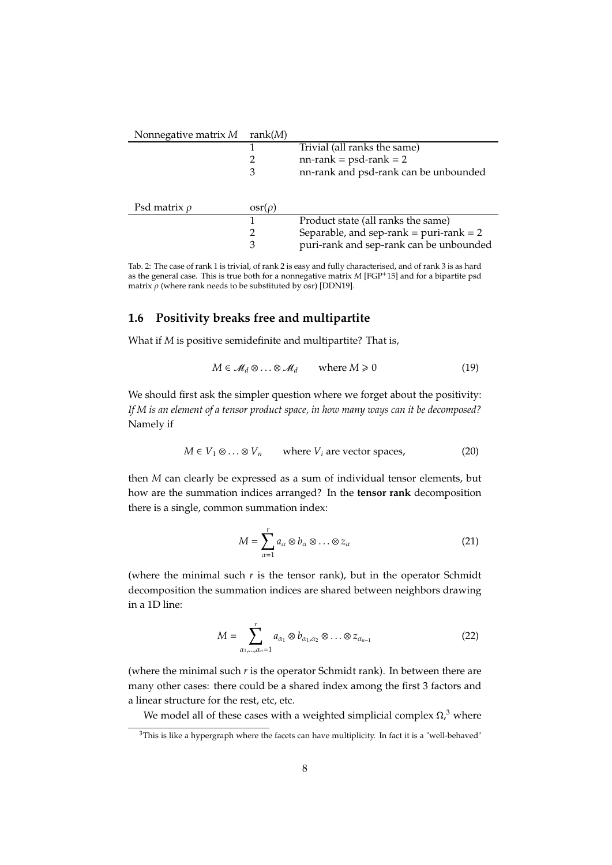<span id="page-7-1"></span>

| Nonnegative matrix M | rank $(M)$                 |                                            |
|----------------------|----------------------------|--------------------------------------------|
|                      |                            | Trivial (all ranks the same)               |
|                      |                            | $nn-rank = psd-rank = 2$                   |
|                      | 3                          | nn-rank and psd-rank can be unbounded      |
| Psd matrix $\rho$    | $\operatorname{osr}(\rho)$ |                                            |
|                      |                            | Product state (all ranks the same)         |
|                      |                            | Separable, and sep-rank = $puri$ -rank = 2 |
|                      | 3                          | puri-rank and sep-rank can be unbounded    |

Tab. 2: The case of rank 1 is trivial, of rank 2 is easy and fully characterised, and of rank 3 is as hard as the general case. This is true both for a nonnegative matrix *M* [\[FGP](#page-11-1)+15] and for a bipartite psd matrix  $\rho$  (where rank needs to be substituted by osr) [\[DDN19\]](#page-11-4).

#### <span id="page-7-0"></span>**1.6 Positivity breaks free and multipartite**

What if *M* is positive semidefinite and multipartite? That is,

$$
M \in \mathcal{M}_d \otimes \ldots \otimes \mathcal{M}_d \qquad \text{where } M \geq 0 \tag{19}
$$

We should first ask the simpler question where we forget about the positivity: *If M is an element of a tensor product space, in how many ways can it be decomposed?* Namely if

$$
M \in V_1 \otimes \ldots \otimes V_n
$$
 where  $V_i$  are vector spaces, (20)

then *M* can clearly be expressed as a sum of individual tensor elements, but how are the summation indices arranged? In the **tensor rank** decomposition there is a single, common summation index:

$$
M = \sum_{\alpha=1}^{r} a_{\alpha} \otimes b_{\alpha} \otimes \ldots \otimes z_{\alpha}
$$
 (21)

(where the minimal such  $r$  is the tensor rank), but in the operator Schmidt decomposition the summation indices are shared between neighbors drawing in a 1D line:

$$
M = \sum_{\alpha_1, \dots, \alpha_n = 1}^r a_{\alpha_1} \otimes b_{\alpha_1, \alpha_2} \otimes \dots \otimes z_{\alpha_{n-1}}
$$
 (22)

(where the minimal such *r* is the operator Schmidt rank). In between there are many other cases: there could be a shared index among the first 3 factors and a linear structure for the rest, etc, etc.

We model all of these cases with a weighted simplicial complex *Ω*, [3](#page-0-1) where

 $3$ This is like a hypergraph where the facets can have multiplicity. In fact it is a "well-behaved"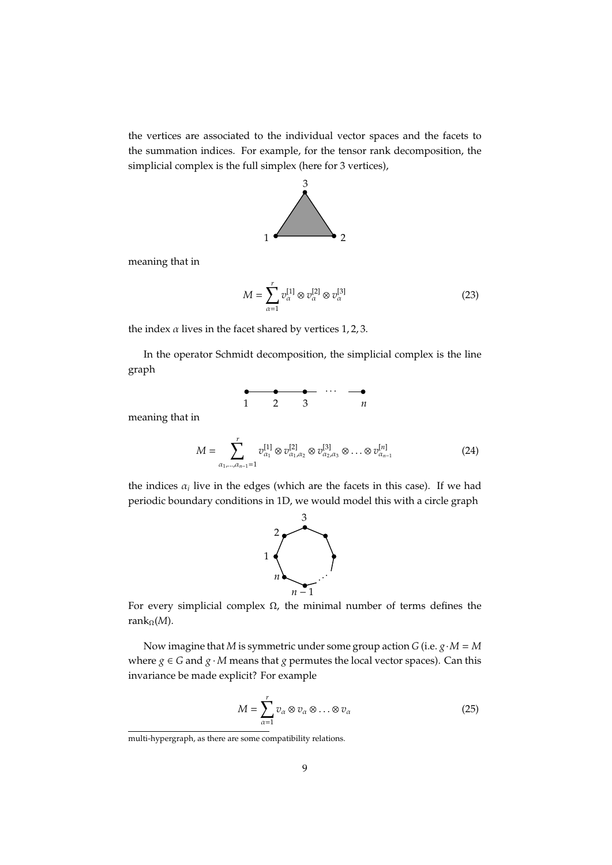the vertices are associated to the individual vector spaces and the facets to the summation indices. For example, for the tensor rank decomposition, the simplicial complex is the full simplex (here for 3 vertices),



meaning that in

$$
M = \sum_{\alpha=1}^{r} v_{\alpha}^{[1]} \otimes v_{\alpha}^{[2]} \otimes v_{\alpha}^{[3]}
$$
 (23)

the index  $\alpha$  lives in the facet shared by vertices 1, 2, 3.

In the operator Schmidt decomposition, the simplicial complex is the line graph

| $1 \quad 2 \quad 3$ |  | $\boldsymbol{n}$ |
|---------------------|--|------------------|

meaning that in

$$
M = \sum_{\alpha_1, \dots, \alpha_{n-1} = 1}^{r} v_{\alpha_1}^{[1]} \otimes v_{\alpha_1, \alpha_2}^{[2]} \otimes v_{\alpha_2, \alpha_3}^{[3]} \otimes \dots \otimes v_{\alpha_{n-1}}^{[n]}
$$
(24)

the indices  $\alpha_i$  live in the edges (which are the facets in this case). If we had periodic boundary conditions in 1D, we would model this with a circle graph



For every simplicial complex *Ω*, the minimal number of terms defines the rank*Ω*(*M*).

Now imagine that *M* is symmetric under some group action *G* (i.e. *g*·*M* = *M* where  $g \in G$  and  $g \cdot M$  means that  $g$  permutes the local vector spaces). Can this invariance be made explicit? For example

<span id="page-8-0"></span>
$$
M = \sum_{\alpha=1}^{r} v_{\alpha} \otimes v_{\alpha} \otimes \ldots \otimes v_{\alpha}
$$
 (25)

multi-hypergraph, as there are some compatibility relations.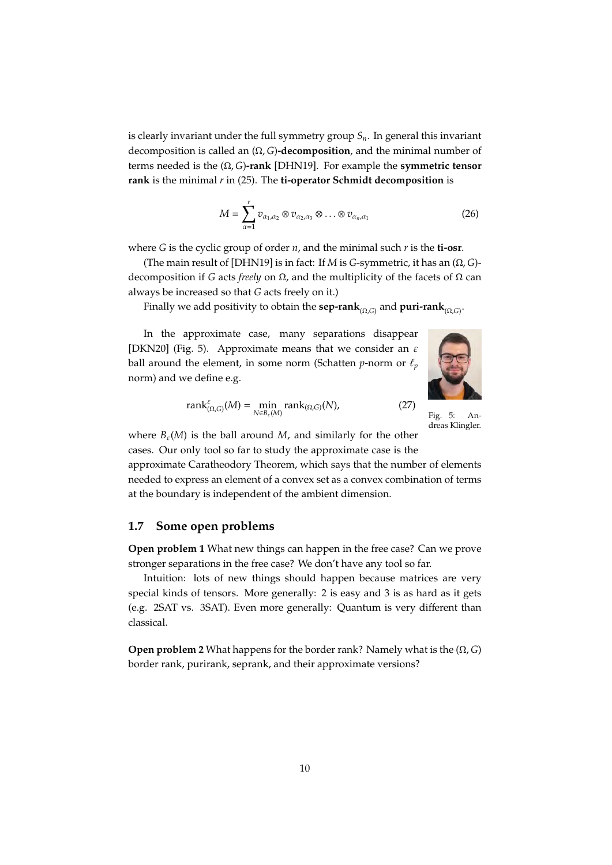is clearly invariant under the full symmetry group *Sn*. In general this invariant decomposition is called an (*Ω*, *G*)**-decomposition**, and the minimal number of terms needed is the (*Ω*, *G*)**-rank** [\[DHN19\]](#page-11-5). For example the **symmetric tensor rank** is the minimal *r* in [\(25\)](#page-8-0). The **ti-operator Schmidt decomposition** is

$$
M = \sum_{\alpha=1}^{r} v_{\alpha_1,\alpha_2} \otimes v_{\alpha_2,\alpha_3} \otimes \ldots \otimes v_{\alpha_n,\alpha_1}
$$
 (26)

where *G* is the cyclic group of order *n*, and the minimal such *r* is the **ti-osr**.

(The main result of [\[DHN19\]](#page-11-5) is in fact: If *M* is *G*-symmetric, it has an (*Ω*, *G*) decomposition if *G* acts *freely* on *Ω*, and the multiplicity of the facets of *Ω* can always be increased so that *G* acts freely on it.)

Finally we add positivity to obtain the **sep-rank**(*Ω*,*G*) and **puri-rank**(*Ω*,*G*) .

In the approximate case, many separations disappear [\[DKN20\]](#page-11-6) (Fig. [5\)](#page-9-1). Approximate means that we consider an  $\varepsilon$ ball around the element, in some norm (Schatten *p*-norm or  $\ell_p$ norm) and we define e.g.

<span id="page-9-1"></span>

rank(*Ω*,*G*)(*N*), (27)

$$
\operatorname{rank}_{(\Omega,G)}^{\varepsilon}(M)=\min_{N\in B_{\varepsilon}(M)}\operatorname{rank}_{(\Omega,G)}(N),
$$

Fig. 5: Andreas Klingler.

where  $B_{\varepsilon}(M)$  is the ball around M, and similarly for the other cases. Our only tool so far to study the approximate case is the

approximate Caratheodory Theorem, which says that the number of elements needed to express an element of a convex set as a convex combination of terms at the boundary is independent of the ambient dimension.

#### <span id="page-9-0"></span>**1.7 Some open problems**

**Open problem 1** What new things can happen in the free case? Can we prove stronger separations in the free case? We don't have any tool so far.

Intuition: lots of new things should happen because matrices are very special kinds of tensors. More generally: 2 is easy and 3 is as hard as it gets (e.g. 2SAT vs. 3SAT). Even more generally: Quantum is very different than classical.

**Open problem 2** What happens for the border rank? Namely what is the (*Ω*, *G*) border rank, purirank, seprank, and their approximate versions?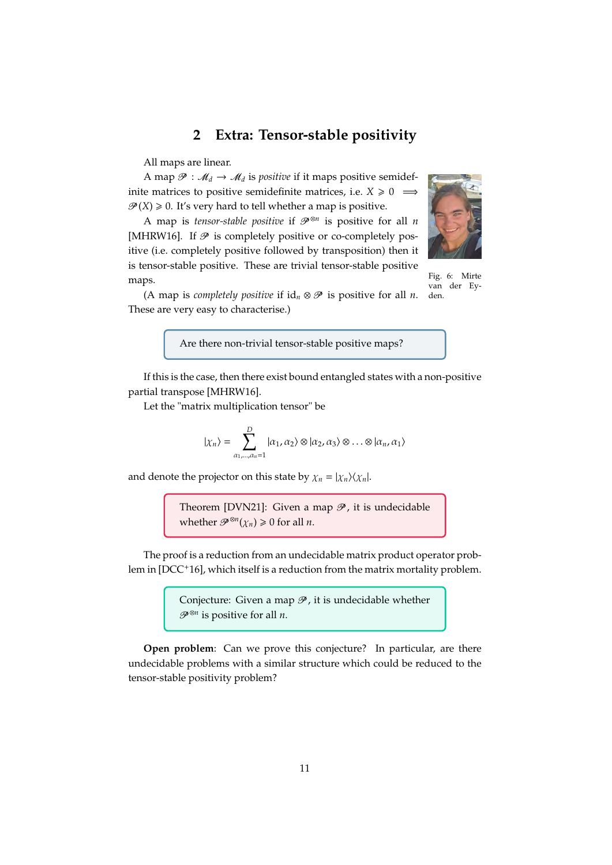## **2 Extra: Tensor-stable positivity**

<span id="page-10-0"></span>All maps are linear.

A map  $\mathcal{P}: \mathcal{M}_d \to \mathcal{M}_d$  is *positive* if it maps positive semidefinite matrices to positive semidefinite matrices, i.e. *X* ≥ 0  $\implies$  $\mathcal{P}(X) \geq 0$ . It's very hard to tell whether a map is positive.

A map is *tensor-stable positive* if  $\mathcal{P}^{\otimes n}$  is positive for all *n* [\[MHRW16\]](#page-11-7). If  $\mathcal P$  is completely positive or co-completely positive (i.e. completely positive followed by transposition) then it is tensor-stable positive. These are trivial tensor-stable positive maps.

<span id="page-10-1"></span>

Fig. 6: Mirte van der Eyden.

(A map is *completely positive* if  $id_n \otimes \mathcal{P}$  is positive for all *n*. These are very easy to characterise.)

Are there non-trivial tensor-stable positive maps?

If this is the case, then there exist bound entangled states with a non-positive partial transpose [\[MHRW16\]](#page-11-7).

Let the "matrix multiplication tensor" be

$$
|\chi_n\rangle = \sum_{\alpha_1,\dots,\alpha_n=1}^D |\alpha_1,\alpha_2\rangle \otimes |\alpha_2,\alpha_3\rangle \otimes \dots \otimes |\alpha_n,\alpha_1\rangle
$$

and denote the projector on this state by  $\chi_n = |\chi_n\rangle\langle\chi_n|$ .

Theorem [\[DVN21\]](#page-11-8): Given a map  $\mathcal{P}$ , it is undecidable whether  $\mathcal{P}^{\otimes n}(\chi_n) \geq 0$  for all *n*.

The proof is a reduction from an undecidable matrix product operator problem in [\[DCC](#page-11-9)<sup>+</sup>16], which itself is a reduction from the matrix mortality problem.

> Conjecture: Given a map  $\mathcal{P}$ , it is undecidable whether P <sup>⊗</sup>*<sup>n</sup>* is positive for all *n*.

**Open problem**: Can we prove this conjecture? In particular, are there undecidable problems with a similar structure which could be reduced to the tensor-stable positivity problem?